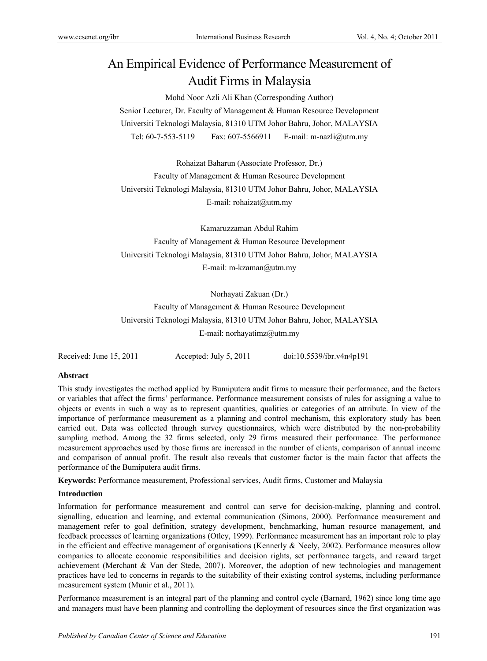# An Empirical Evidence of Performance Measurement of Audit Firms in Malaysia

Mohd Noor Azli Ali Khan (Corresponding Author) Senior Lecturer, Dr. Faculty of Management & Human Resource Development Universiti Teknologi Malaysia, 81310 UTM Johor Bahru, Johor, MALAYSIA Tel: 60-7-553-5119 Fax: 607-5566911 E-mail: m-nazli@utm.my

Rohaizat Baharun (Associate Professor, Dr.)

Faculty of Management & Human Resource Development Universiti Teknologi Malaysia, 81310 UTM Johor Bahru, Johor, MALAYSIA E-mail: rohaizat@utm.my

Kamaruzzaman Abdul Rahim Faculty of Management & Human Resource Development Universiti Teknologi Malaysia, 81310 UTM Johor Bahru, Johor, MALAYSIA E-mail: m-kzaman@utm.my

Norhayati Zakuan (Dr.)

Faculty of Management & Human Resource Development Universiti Teknologi Malaysia, 81310 UTM Johor Bahru, Johor, MALAYSIA E-mail: norhayatimz@utm.my

| Received: June 15, 2011 | Accepted: July 5, 2011 | doi:10.5539/ibr.v4n4p191 |
|-------------------------|------------------------|--------------------------|
|-------------------------|------------------------|--------------------------|

# **Abstract**

This study investigates the method applied by Bumiputera audit firms to measure their performance, and the factors or variables that affect the firms' performance. Performance measurement consists of rules for assigning a value to objects or events in such a way as to represent quantities, qualities or categories of an attribute. In view of the importance of performance measurement as a planning and control mechanism, this exploratory study has been carried out. Data was collected through survey questionnaires, which were distributed by the non-probability sampling method. Among the 32 firms selected, only 29 firms measured their performance. The performance measurement approaches used by those firms are increased in the number of clients, comparison of annual income and comparison of annual profit. The result also reveals that customer factor is the main factor that affects the performance of the Bumiputera audit firms.

**Keywords:** Performance measurement, Professional services, Audit firms, Customer and Malaysia

# **Introduction**

Information for performance measurement and control can serve for decision-making, planning and control, signalling, education and learning, and external communication (Simons, 2000). Performance measurement and management refer to goal definition, strategy development, benchmarking, human resource management, and feedback processes of learning organizations (Otley, 1999). Performance measurement has an important role to play in the efficient and effective management of organisations (Kennerly & Neely, 2002). Performance measures allow companies to allocate economic responsibilities and decision rights, set performance targets, and reward target achievement (Merchant & Van der Stede, 2007). Moreover, the adoption of new technologies and management practices have led to concerns in regards to the suitability of their existing control systems, including performance measurement system (Munir et al., 2011).

Performance measurement is an integral part of the planning and control cycle (Barnard, 1962) since long time ago and managers must have been planning and controlling the deployment of resources since the first organization was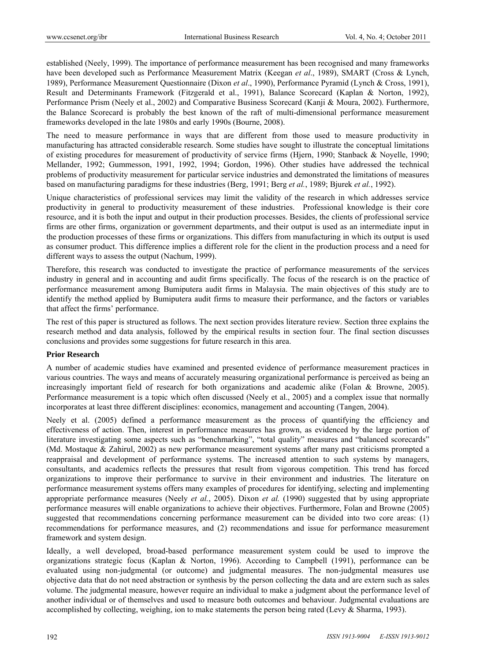established (Neely, 1999). The importance of performance measurement has been recognised and many frameworks have been developed such as Performance Measurement Matrix (Keegan *et al*., 1989), SMART (Cross & Lynch, 1989), Performance Measurement Questionnaire (Dixon *et al*., 1990), Performance Pyramid (Lynch & Cross, 1991), Result and Determinants Framework (Fitzgerald et al., 1991), Balance Scorecard (Kaplan & Norton, 1992), Performance Prism (Neely et al., 2002) and Comparative Business Scorecard (Kanji & Moura, 2002). Furthermore, the Balance Scorecard is probably the best known of the raft of multi-dimensional performance measurement frameworks developed in the late 1980s and early 1990s (Bourne, 2008).

The need to measure performance in ways that are different from those used to measure productivity in manufacturing has attracted considerable research. Some studies have sought to illustrate the conceptual limitations of existing procedures for measurement of productivity of service firms (Hjern, 1990; Stanback & Noyelle, 1990; Mellander, 1992; Gummesson, 1991, 1992, 1994; Gordon, 1996). Other studies have addressed the technical problems of productivity measurement for particular service industries and demonstrated the limitations of measures based on manufacturing paradigms for these industries (Berg, 1991; Berg *et al.*, 1989; Bjurek *et al.*, 1992).

Unique characteristics of professional services may limit the validity of the research in which addresses service productivity in general to productivity measurement of these industries. Professional knowledge is their core resource, and it is both the input and output in their production processes. Besides, the clients of professional service firms are other firms, organization or government departments, and their output is used as an intermediate input in the production processes of these firms or organizations. This differs from manufacturing in which its output is used as consumer product. This difference implies a different role for the client in the production process and a need for different ways to assess the output (Nachum, 1999).

Therefore, this research was conducted to investigate the practice of performance measurements of the services industry in general and in accounting and audit firms specifically. The focus of the research is on the practice of performance measurement among Bumiputera audit firms in Malaysia. The main objectives of this study are to identify the method applied by Bumiputera audit firms to measure their performance, and the factors or variables that affect the firms' performance.

The rest of this paper is structured as follows. The next section provides literature review. Section three explains the research method and data analysis, followed by the empirical results in section four. The final section discusses conclusions and provides some suggestions for future research in this area.

# **Prior Research**

A number of academic studies have examined and presented evidence of performance measurement practices in various countries. The ways and means of accurately measuring organizational performance is perceived as being an increasingly important field of research for both organizations and academic alike (Folan & Browne, 2005). Performance measurement is a topic which often discussed (Neely et al., 2005) and a complex issue that normally incorporates at least three different disciplines: economics, management and accounting (Tangen, 2004).

Neely et al. (2005) defined a performance measurement as the process of quantifying the efficiency and effectiveness of action. Then, interest in performance measures has grown, as evidenced by the large portion of literature investigating some aspects such as "benchmarking", "total quality" measures and "balanced scorecards" (Md. Mostaque & Zahirul, 2002) as new performance measurement systems after many past criticisms prompted a reappraisal and development of performance systems. The increased attention to such systems by managers, consultants, and academics reflects the pressures that result from vigorous competition. This trend has forced organizations to improve their performance to survive in their environment and industries. The literature on performance measurement systems offers many examples of procedures for identifying, selecting and implementing appropriate performance measures (Neely *et al.*, 2005). Dixon *et al.* (1990) suggested that by using appropriate performance measures will enable organizations to achieve their objectives. Furthermore, Folan and Browne (2005) suggested that recommendations concerning performance measurement can be divided into two core areas: (1) recommendations for performance measures, and (2) recommendations and issue for performance measurement framework and system design.

Ideally, a well developed, broad-based performance measurement system could be used to improve the organizations strategic focus (Kaplan & Norton, 1996). According to Campbell (1991), performance can be evaluated using non-judgmental (or outcome) and judgmental measures. The non-judgmental measures use objective data that do not need abstraction or synthesis by the person collecting the data and are extern such as sales volume. The judgmental measure, however require an individual to make a judgment about the performance level of another individual or of themselves and used to measure both outcomes and behaviour. Judgmental evaluations are accomplished by collecting, weighing, ion to make statements the person being rated (Levy & Sharma, 1993).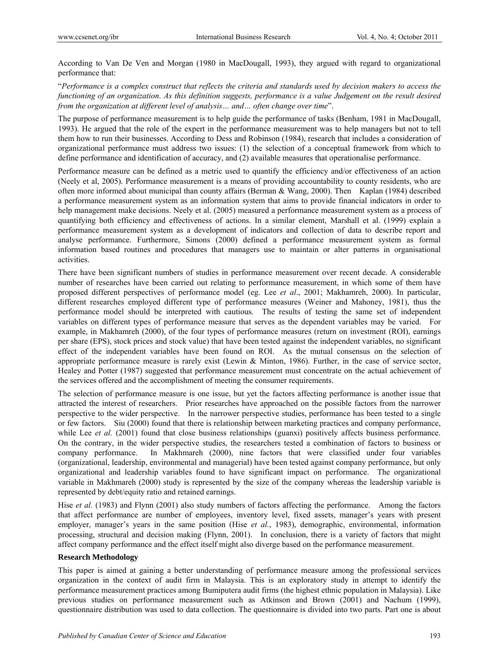According to Van De Ven and Morgan (1980 in MacDougall, 1993), they argued with regard to organizational performance that:

"*Performance is a complex construct that reflects the criteria and standards used by decision makers to access the functioning of an organization. As this definition suggests, performance is a value Judgement on the result desired from the organization at different level of analysis… and… often change over time*".

The purpose of performance measurement is to help guide the performance of tasks (Benham, 1981 in MacDougall, 1993). He argued that the role of the expert in the performance measurement was to help managers but not to tell them how to run their businesses. According to Dess and Robinson (1984), research that includes a consideration of organizational performance must address two issues: (1) the selection of a conceptual framework from which to define performance and identification of accuracy, and (2) available measures that operationalise performance.

Performance measure can be defined as a metric used to quantify the efficiency and/or effectiveness of an action (Neely et al, 2005). Performance measurement is a means of providing accountability to county residents, who are often more informed about municipal than county affairs (Berman & Wang, 2000). Then Kaplan (1984) described a performance measurement system as an information system that aims to provide financial indicators in order to help management make decisions. Neely et al. (2005) measured a performance measurement system as a process of quantifying both efficiency and effectiveness of actions. In a similar element, Marshall et al. (1999) explain a performance measurement system as a development of indicators and collection of data to describe report and analyse performance. Furthermore, Simons (2000) defined a performance measurement system as formal information based routines and procedures that managers use to maintain or alter patterns in organisational activities.

There have been significant numbers of studies in performance measurement over recent decade. A considerable number of researches have been carried out relating to performance measurement, in which some of them have proposed different perspectives of performance model (eg. Lee *et al*., 2001; Makhamreh, 2000). In particular, different researches employed different type of performance measures (Weiner and Mahoney, 1981), thus the performance model should be interpreted with cautious. The results of testing the same set of independent variables on different types of performance measure that serves as the dependent variables may be varied. For example, in Makhamreh (2000), of the four types of performance measures (return on investment (ROI), earnings per share (EPS), stock prices and stock value) that have been tested against the independent variables, no significant effect of the independent variables have been found on ROI. As the mutual consensus on the selection of appropriate performance measure is rarely exist (Lewin & Minton, 1986). Further, in the case of service sector, Healey and Potter (1987) suggested that performance measurement must concentrate on the actual achievement of the services offered and the accomplishment of meeting the consumer requirements.

The selection of performance measure is one issue, but yet the factors affecting performance is another issue that attracted the interest of researchers. Prior researches have approached on the possible factors from the narrower perspective to the wider perspective. In the narrower perspective studies, performance has been tested to a single or few factors. Siu (2000) found that there is relationship between marketing practices and company performance, while Lee *et al.* (2001) found that close business relationships (guanxi) positively affects business performance. On the contrary, in the wider perspective studies, the researchers tested a combination of factors to business or company performance. In Makhmareh (2000), nine factors that were classified under four variables (organizational, leadership, environmental and managerial) have been tested against company performance, but only organizational and leadership variables found to have significant impact on performance. The organizational variable in Makhmareh (2000) study is represented by the size of the company whereas the leadership variable is represented by debt/equity ratio and retained earnings.

Hise *et al.* (1983) and Flynn (2001) also study numbers of factors affecting the performance. Among the factors that affect performance are number of employees, inventory level, fixed assets, manager's years with present employer, manager's years in the same position (Hise *et al.*, 1983), demographic, environmental, information processing, structural and decision making (Flynn, 2001). In conclusion, there is a variety of factors that might affect company performance and the effect itself might also diverge based on the performance measurement.

# **Research Methodology**

This paper is aimed at gaining a better understanding of performance measure among the professional services organization in the context of audit firm in Malaysia. This is an exploratory study in attempt to identify the performance measurement practices among Bumiputera audit firms (the highest ethnic population in Malaysia). Like previous studies on performance measurement such as Atkinson and Brown (2001) and Nachum (1999), questionnaire distribution was used to data collection. The questionnaire is divided into two parts. Part one is about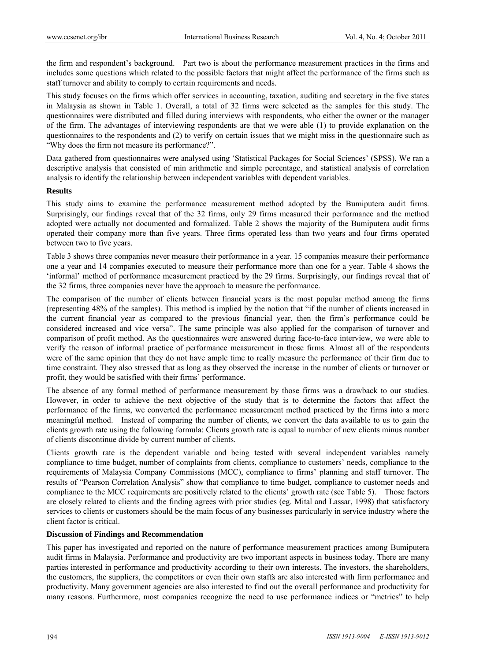the firm and respondent's background. Part two is about the performance measurement practices in the firms and includes some questions which related to the possible factors that might affect the performance of the firms such as staff turnover and ability to comply to certain requirements and needs.

This study focuses on the firms which offer services in accounting, taxation, auditing and secretary in the five states in Malaysia as shown in Table 1. Overall, a total of 32 firms were selected as the samples for this study. The questionnaires were distributed and filled during interviews with respondents, who either the owner or the manager of the firm. The advantages of interviewing respondents are that we were able (1) to provide explanation on the questionnaires to the respondents and (2) to verify on certain issues that we might miss in the questionnaire such as "Why does the firm not measure its performance?".

Data gathered from questionnaires were analysed using 'Statistical Packages for Social Sciences' (SPSS). We ran a descriptive analysis that consisted of min arithmetic and simple percentage, and statistical analysis of correlation analysis to identify the relationship between independent variables with dependent variables.

#### **Results**

This study aims to examine the performance measurement method adopted by the Bumiputera audit firms. Surprisingly, our findings reveal that of the 32 firms, only 29 firms measured their performance and the method adopted were actually not documented and formalized. Table 2 shows the majority of the Bumiputera audit firms operated their company more than five years. Three firms operated less than two years and four firms operated between two to five years.

Table 3 shows three companies never measure their performance in a year. 15 companies measure their performance one a year and 14 companies executed to measure their performance more than one for a year. Table 4 shows the 'informal' method of performance measurement practiced by the 29 firms. Surprisingly, our findings reveal that of the 32 firms, three companies never have the approach to measure the performance.

The comparison of the number of clients between financial years is the most popular method among the firms (representing 48% of the samples). This method is implied by the notion that "if the number of clients increased in the current financial year as compared to the previous financial year, then the firm's performance could be considered increased and vice versa". The same principle was also applied for the comparison of turnover and comparison of profit method. As the questionnaires were answered during face-to-face interview, we were able to verify the reason of informal practice of performance measurement in those firms. Almost all of the respondents were of the same opinion that they do not have ample time to really measure the performance of their firm due to time constraint. They also stressed that as long as they observed the increase in the number of clients or turnover or profit, they would be satisfied with their firms' performance.

The absence of any formal method of performance measurement by those firms was a drawback to our studies. However, in order to achieve the next objective of the study that is to determine the factors that affect the performance of the firms, we converted the performance measurement method practiced by the firms into a more meaningful method. Instead of comparing the number of clients, we convert the data available to us to gain the clients growth rate using the following formula: Clients growth rate is equal to number of new clients minus number of clients discontinue divide by current number of clients.

Clients growth rate is the dependent variable and being tested with several independent variables namely compliance to time budget, number of complaints from clients, compliance to customers' needs, compliance to the requirements of Malaysia Company Commissions (MCC), compliance to firms' planning and staff turnover. The results of "Pearson Correlation Analysis" show that compliance to time budget, compliance to customer needs and compliance to the MCC requirements are positively related to the clients' growth rate (see Table 5). Those factors are closely related to clients and the finding agrees with prior studies (eg. Mital and Lassar, 1998) that satisfactory services to clients or customers should be the main focus of any businesses particularly in service industry where the client factor is critical.

#### **Discussion of Findings and Recommendation**

This paper has investigated and reported on the nature of performance measurement practices among Bumiputera audit firms in Malaysia. Performance and productivity are two important aspects in business today. There are many parties interested in performance and productivity according to their own interests. The investors, the shareholders, the customers, the suppliers, the competitors or even their own staffs are also interested with firm performance and productivity. Many government agencies are also interested to find out the overall performance and productivity for many reasons. Furthermore, most companies recognize the need to use performance indices or "metrics" to help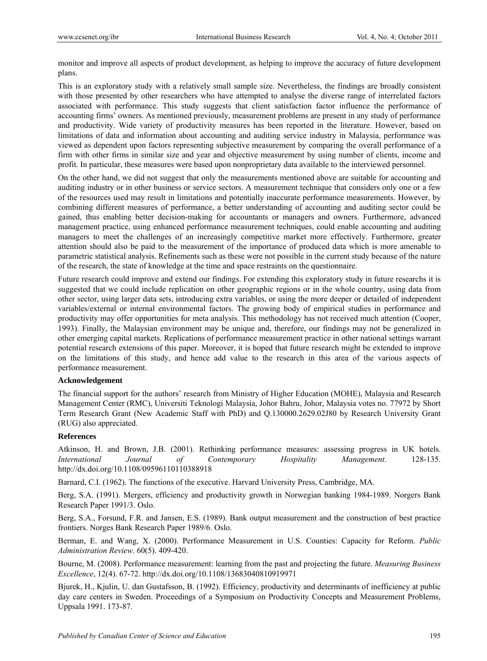monitor and improve all aspects of product development, as helping to improve the accuracy of future development plans.

This is an exploratory study with a relatively small sample size. Nevertheless, the findings are broadly consistent with those presented by other researchers who have attempted to analyse the diverse range of interrelated factors associated with performance. This study suggests that client satisfaction factor influence the performance of accounting firms' owners. As mentioned previously, measurement problems are present in any study of performance and productivity. Wide variety of productivity measures has been reported in the literature. However, based on limitations of data and information about accounting and auditing service industry in Malaysia, performance was viewed as dependent upon factors representing subjective measurement by comparing the overall performance of a firm with other firms in similar size and year and objective measurement by using number of clients, income and profit. In particular, these measures were based upon nonproprietary data available to the interviewed personnel.

On the other hand, we did not suggest that only the measurements mentioned above are suitable for accounting and auditing industry or in other business or service sectors. A measurement technique that considers only one or a few of the resources used may result in limitations and potentially inaccurate performance measurements. However, by combining different measures of performance, a better understanding of accounting and auditing sector could be gained, thus enabling better decision-making for accountants or managers and owners. Furthermore, advanced management practice, using enhanced performance measurement techniques, could enable accounting and auditing managers to meet the challenges of an increasingly competitive market more effectively. Furthermore, greater attention should also be paid to the measurement of the importance of produced data which is more amenable to parametric statistical analysis. Refinements such as these were not possible in the current study because of the nature of the research, the state of knowledge at the time and space restraints on the questionnaire.

Future research could improve and extend our findings. For extending this exploratory study in future researchs it is suggested that we could include replication on other geographic regions or in the whole country, using data from other sector, using larger data sets, introducing extra variables, or using the more deeper or detailed of independent variables/external or internal environmental factors. The growing body of empirical studies in performance and productivity may offer opportunities for meta analysis. This methodology has not received much attention (Cooper, 1993). Finally, the Malaysian environment may be unique and, therefore, our findings may not be generalized in other emerging capital markets. Replications of performance measurement practice in other national settings warrant potential research extensions of this paper. Moreover, it is hoped that future research might be extended to improve on the limitations of this study, and hence add value to the research in this area of the various aspects of performance measurement.

# **Acknowledgement**

The financial support for the authors' research from Ministry of Higher Education (MOHE), Malaysia and Research Management Center (RMC), Universiti Teknologi Malaysia, Johor Bahru, Johor, Malaysia votes no. 77972 by Short Term Research Grant (New Academic Staff with PhD) and Q.130000.2629.02J80 by Research University Grant (RUG) also appreciated.

#### **References**

Atkinson, H. and Brown, J.B. (2001). Rethinking performance measures: assessing progress in UK hotels. *International Journal of Contemporary Hospitality Management*. 128-135. http://dx.doi.org/10.1108/09596110110388918

Barnard, C.I. (1962). The functions of the executive. Harvard University Press, Cambridge, MA.

Berg, S.A. (1991). Mergers, efficiency and productivity growth in Norwegian banking 1984-1989. Norgers Bank Research Paper 1991/3. Oslo.

Berg, S.A., Forsund, F.R. and Jansen, E.S. (1989). Bank output measurement and the construction of best practice frontiers. Norges Bank Research Paper 1989/6. Oslo.

Berman, E. and Wang, X. (2000). Performance Measurement in U.S. Counties: Capacity for Reform. *Public Administration Review*. 60(5). 409-420.

Bourne, M. (2008). Performance measurement: learning from the past and projecting the future. *Measuring Business Excellence*, 12(4). 67-72. http://dx.doi.org/10.1108/13683040810919971

Bjurek, H., Kjulin, U. dan Gustafsson, B. (1992). Efficiency, productivity and determinants of inefficiency at public day care centers in Sweden. Proceedings of a Symposium on Productivity Concepts and Measurement Problems, Uppsala 1991. 173-87.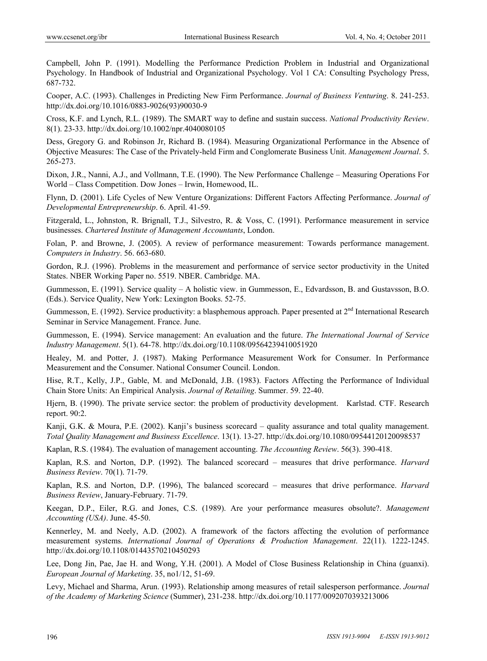Campbell, John P. (1991). Modelling the Performance Prediction Problem in Industrial and Organizational Psychology. In Handbook of Industrial and Organizational Psychology. Vol 1 CA: Consulting Psychology Press, 687-732.

Cooper, A.C. (1993). Challenges in Predicting New Firm Performance. *Journal of Business Venturing*. 8. 241-253. http://dx.doi.org/10.1016/0883-9026(93)90030-9

Cross, K.F. and Lynch, R.L. (1989). The SMART way to define and sustain success. *National Productivity Review*. 8(1). 23-33. http://dx.doi.org/10.1002/npr.4040080105

Dess, Gregory G. and Robinson Jr, Richard B. (1984). Measuring Organizational Performance in the Absence of Objective Measures: The Case of the Privately-held Firm and Conglomerate Business Unit. *Management Journal*. 5. 265-273.

Dixon, J.R., Nanni, A.J., and Vollmann, T.E. (1990). The New Performance Challenge – Measuring Operations For World – Class Competition. Dow Jones – Irwin, Homewood, IL.

Flynn, D. (2001). Life Cycles of New Venture Organizations: Different Factors Affecting Performance. *Journal of Developmental Entrepreneurship*. 6. April. 41-59.

Fitzgerald, L., Johnston, R. Brignall, T.J., Silvestro, R. & Voss, C. (1991). Performance measurement in service businesses. *Chartered Institute of Management Accountants*, London.

Folan, P. and Browne, J. (2005). A review of performance measurement: Towards performance management. *Computers in Industry*. 56. 663-680.

Gordon, R.J. (1996). Problems in the measurement and performance of service sector productivity in the United States. NBER Working Paper no. 5519. NBER. Cambridge. MA.

Gummesson, E. (1991). Service quality – A holistic view. in Gummesson, E., Edvardsson, B. and Gustavsson, B.O. (Eds.). Service Quality, New York: Lexington Books. 52-75.

Gummesson, E. (1992). Service productivity: a blasphemous approach. Paper presented at  $2^{nd}$  International Research Seminar in Service Management. France. June.

Gummesson, E. (1994). Service management: An evaluation and the future. *The International Journal of Service Industry Management*. 5(1). 64-78. http://dx.doi.org/10.1108/09564239410051920

Healey, M. and Potter, J. (1987). Making Performance Measurement Work for Consumer. In Performance Measurement and the Consumer. National Consumer Council. London.

Hise, R.T., Kelly, J.P., Gable, M. and McDonald, J.B. (1983). Factors Affecting the Performance of Individual Chain Store Units: An Empirical Analysis. *Journal of Retailing*. Summer. 59. 22-40.

Hjern, B. (1990). The private service sector: the problem of productivity development. Karlstad. CTF. Research report. 90:2.

Kanji, G.K. & Moura, P.E. (2002). Kanji's business scorecard – quality assurance and total quality management. *Total Quality Management and Business Excellence*. 13(1). 13-27. http://dx.doi.org/10.1080/09544120120098537

Kaplan, R.S. (1984). The evaluation of management accounting. *The Accounting Review*. 56(3). 390-418.

Kaplan, R.S. and Norton, D.P. (1992). The balanced scorecard – measures that drive performance. *Harvard Business Review*. 70(1). 71-79.

Kaplan, R.S. and Norton, D.P. (1996), The balanced scorecard – measures that drive performance. *Harvard Business Review*, January-February. 71-79.

Keegan, D.P., Eiler, R.G. and Jones, C.S. (1989). Are your performance measures obsolute?. *Management Accounting (USA)*. June. 45-50.

Kennerley, M. and Neely, A.D. (2002). A framework of the factors affecting the evolution of performance measurement systems. *International Journal of Operations & Production Management*. 22(11). 1222-1245. http://dx.doi.org/10.1108/01443570210450293

Lee, Dong Jin, Pae, Jae H. and Wong, Y.H. (2001). A Model of Close Business Relationship in China (guanxi). *European Journal of Marketing*. 35, no1/12, 51-69.

Levy, Michael and Sharma, Arun. (1993). Relationship among measures of retail salesperson performance. *Journal of the Academy of Marketing Science* (Summer), 231-238. http://dx.doi.org/10.1177/0092070393213006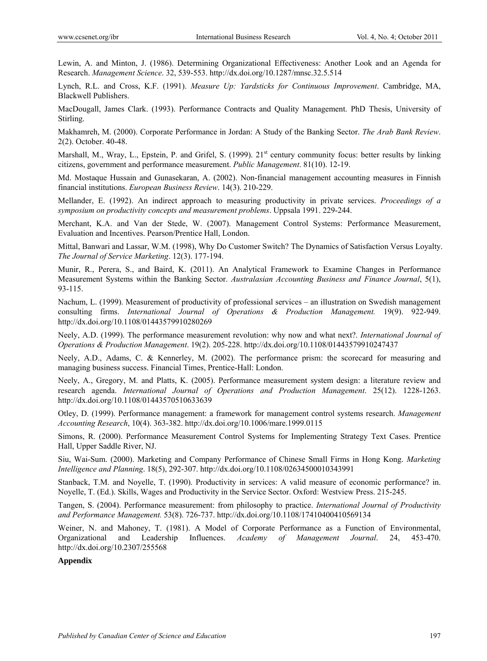Lewin, A. and Minton, J. (1986). Determining Organizational Effectiveness: Another Look and an Agenda for Research. *Management Science*. 32, 539-553. http://dx.doi.org/10.1287/mnsc.32.5.514

Lynch, R.L. and Cross, K.F. (1991). *Measure Up: Yardsticks for Continuous Improvement*. Cambridge, MA, Blackwell Publishers.

MacDougall, James Clark. (1993). Performance Contracts and Quality Management. PhD Thesis, University of Stirling.

Makhamreh, M. (2000). Corporate Performance in Jordan: A Study of the Banking Sector. *The Arab Bank Review*. 2(2). October. 40-48.

Marshall, M., Wray, L., Epstein, P. and Grifel, S. (1999).  $21<sup>st</sup>$  century community focus: better results by linking citizens, government and performance measurement. *Public Management*. 81(10). 12-19.

Md. Mostaque Hussain and Gunasekaran, A. (2002). Non-financial management accounting measures in Finnish financial institutions. *European Business Review*. 14(3). 210-229.

Mellander, E. (1992). An indirect approach to measuring productivity in private services. *Proceedings of a symposium on productivity concepts and measurement problems*. Uppsala 1991. 229-244.

Merchant, K.A. and Van der Stede, W. (2007). Management Control Systems: Performance Measurement, Evaluation and Incentives. Pearson/Prentice Hall, London.

Mittal, Banwari and Lassar, W.M. (1998), Why Do Customer Switch? The Dynamics of Satisfaction Versus Loyalty. *The Journal of Service Marketing*. 12(3). 177-194.

Munir, R., Perera, S., and Baird, K. (2011). An Analytical Framework to Examine Changes in Performance Measurement Systems within the Banking Sector. *Australasian Accounting Business and Finance Journal*, 5(1), 93-115.

Nachum, L. (1999). Measurement of productivity of professional services – an illustration on Swedish management consulting firms. *International Journal of Operations & Production Management.* 19(9). 922-949. http://dx.doi.org/10.1108/01443579910280269

Neely, A.D. (1999). The performance measurement revolution: why now and what next?. *International Journal of Operations & Production Management*. 19(2). 205-228. http://dx.doi.org/10.1108/01443579910247437

Neely, A.D., Adams, C. & Kennerley, M. (2002). The performance prism: the scorecard for measuring and managing business success. Financial Times, Prentice-Hall: London.

Neely, A., Gregory, M. and Platts, K. (2005). Performance measurement system design: a literature review and research agenda. *International Journal of Operations and Production Management*. 25(12). 1228-1263. http://dx.doi.org/10.1108/01443570510633639

Otley, D. (1999). Performance management: a framework for management control systems research. *Management Accounting Research*, 10(4). 363-382. http://dx.doi.org/10.1006/mare.1999.0115

Simons, R. (2000). Performance Measurement Control Systems for Implementing Strategy Text Cases. Prentice Hall, Upper Saddle River, NJ.

Siu, Wai-Sum. (2000). Marketing and Company Performance of Chinese Small Firms in Hong Kong. *Marketing Intelligence and Planning*. 18(5), 292-307. http://dx.doi.org/10.1108/02634500010343991

Stanback, T.M. and Noyelle, T. (1990). Productivity in services: A valid measure of economic performance? in. Noyelle, T. (Ed.). Skills, Wages and Productivity in the Service Sector. Oxford: Westview Press. 215-245.

Tangen, S. (2004). Performance measurement: from philosophy to practice. *International Journal of Productivity and Performance Management.* 53(8). 726-737. http://dx.doi.org/10.1108/17410400410569134

Weiner, N. and Mahoney, T. (1981). A Model of Corporate Performance as a Function of Environmental, Organizational and Leadership Influences. *Academy of Management Journal*. 24, 453-470. http://dx.doi.org/10.2307/255568

# **Appendix**